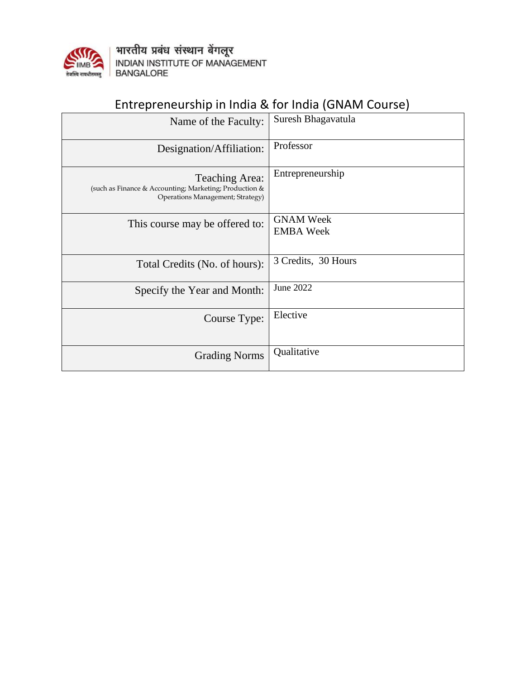

भारतीय प्रबंध संस्थान बेंगलूर<br>INDIAN INSTITUTE OF MANAGEMENT<br>BANGALORE

## Entrepreneurship in India & for India (GNAM Course)

| Name of the Faculty:                                                                                                | Suresh Bhagavatula                   |
|---------------------------------------------------------------------------------------------------------------------|--------------------------------------|
| Designation/Affiliation:                                                                                            | Professor                            |
| <b>Teaching Area:</b><br>(such as Finance & Accounting; Marketing; Production &<br>Operations Management; Strategy) | Entrepreneurship                     |
| This course may be offered to:                                                                                      | <b>GNAM Week</b><br><b>EMBA</b> Week |
| Total Credits (No. of hours):                                                                                       | 3 Credits, 30 Hours                  |
| Specify the Year and Month:                                                                                         | June 2022                            |
| Course Type:                                                                                                        | Elective                             |
| <b>Grading Norms</b>                                                                                                | Qualitative                          |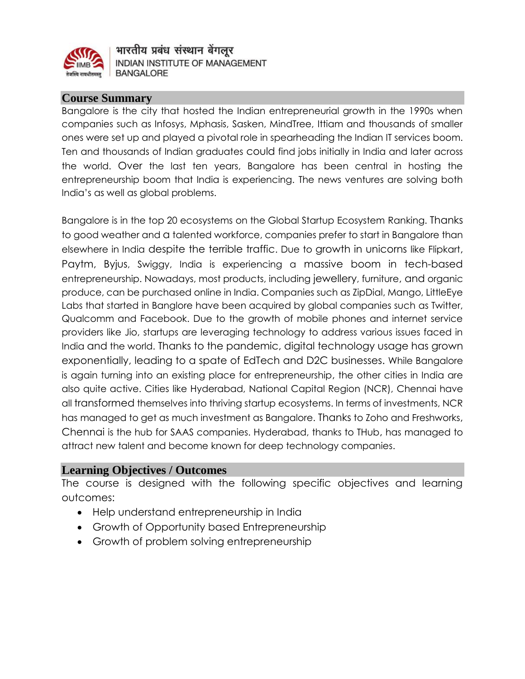

भारतीय प्रबंध संस्थान बेंगलूर INDIAN INSTITUTE OF MANAGEMENT **BANGALORE** 

#### **Course Summary**

Bangalore is the city that hosted the Indian entrepreneurial growth in the 1990s when companies such as Infosys, Mphasis, Sasken, MindTree, Ittiam and thousands of smaller ones were set up and played a pivotal role in spearheading the Indian IT services boom. Ten and thousands of Indian graduates could find jobs initially in India and later across the world. Over the last ten years, Bangalore has been central in hosting the entrepreneurship boom that India is experiencing. The news ventures are solving both India's as well as global problems.

Bangalore is in the top 20 ecosystems on the Global Startup Ecosystem Ranking. Thanks to good weather and a talented workforce, companies prefer to start in Bangalore than elsewhere in India despite the terrible traffic. Due to growth in unicorns like Flipkart, Paytm, Byjus, Swiggy, India is experiencing a massive boom in tech-based entrepreneurship. Nowadays, most products, including jewellery, furniture, and organic produce, can be purchased online in India. Companies such as ZipDial, Mango, LittleEye Labs that started in Banglore have been acquired by global companies such as Twitter, Qualcomm and Facebook. Due to the growth of mobile phones and internet service providers like Jio, startups are leveraging technology to address various issues faced in India and the world. Thanks to the pandemic, digital technology usage has grown exponentially, leading to a spate of EdTech and D2C businesses. While Bangalore is again turning into an existing place for entrepreneurship, the other cities in India are also quite active. Cities like Hyderabad, National Capital Region (NCR), Chennai have all transformed themselves into thriving startup ecosystems. In terms of investments, NCR has managed to get as much investment as Bangalore. Thanks to Zoho and Freshworks, Chennai is the hub for SAAS companies. Hyderabad, thanks to THub, has managed to attract new talent and become known for deep technology companies.

#### **Learning Objectives / Outcomes**

The course is designed with the following specific objectives and learning outcomes:

- Help understand entrepreneurship in India
- Growth of Opportunity based Entrepreneurship
- Growth of problem solving entrepreneurship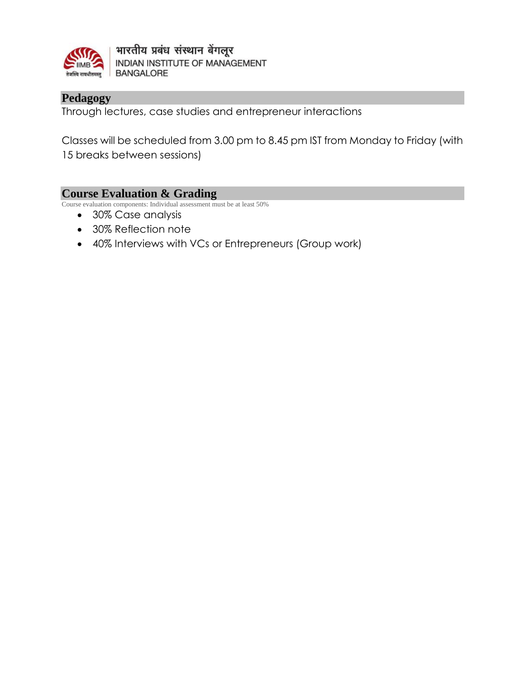

भारतीय प्रबंध संस्थान बेंगलूर INDIAN INSTITUTE OF MANAGEMENT **BANGALORE** 

### **Pedagogy**

Through lectures, case studies and entrepreneur interactions

Classes will be scheduled from 3.00 pm to 8.45 pm IST from Monday to Friday (with 15 breaks between sessions)

#### **Course Evaluation & Grading**

Course evaluation components: Individual assessment must be at least 50%

- 30% Case analysis
- 30% Reflection note
- 40% Interviews with VCs or Entrepreneurs (Group work)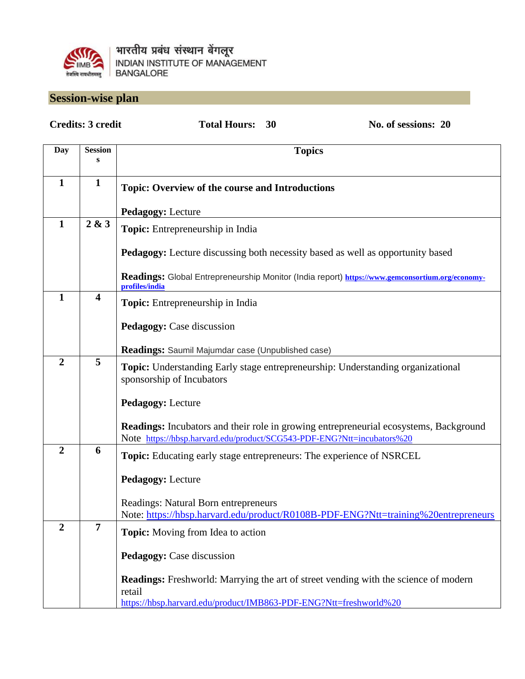

## **Session-wise plan**

| <b>Credits: 3 credit</b> |                         | <b>Total Hours:</b><br>No. of sessions: 20<br>30                                                                                                                       |
|--------------------------|-------------------------|------------------------------------------------------------------------------------------------------------------------------------------------------------------------|
| Day                      | <b>Session</b><br>S     | <b>Topics</b>                                                                                                                                                          |
| $\mathbf{1}$             | $\mathbf{1}$            | <b>Topic: Overview of the course and Introductions</b><br><b>Pedagogy: Lecture</b>                                                                                     |
| $\mathbf{1}$             | 2 & 3                   | Topic: Entrepreneurship in India                                                                                                                                       |
|                          |                         | <b>Pedagogy:</b> Lecture discussing both necessity based as well as opportunity based                                                                                  |
|                          |                         | Readings: Global Entrepreneurship Monitor (India report) https://www.gemconsortium.org/economy-<br>profiles/india                                                      |
| $\mathbf{1}$             | $\overline{\mathbf{4}}$ | Topic: Entrepreneurship in India<br>Pedagogy: Case discussion                                                                                                          |
|                          |                         |                                                                                                                                                                        |
| $\overline{2}$           | 5                       | Readings: Saumil Majumdar case (Unpublished case)                                                                                                                      |
|                          |                         | <b>Topic:</b> Understanding Early stage entrepreneurship: Understanding organizational<br>sponsorship of Incubators                                                    |
|                          |                         | <b>Pedagogy: Lecture</b>                                                                                                                                               |
|                          |                         | <b>Readings:</b> Incubators and their role in growing entrepreneurial ecosystems, Background<br>Note https://hbsp.harvard.edu/product/SCG543-PDF-ENG?Ntt=incubators%20 |
| $\overline{2}$           | 6                       | <b>Topic:</b> Educating early stage entrepreneurs: The experience of NSRCEL                                                                                            |
|                          |                         | <b>Pedagogy: Lecture</b>                                                                                                                                               |
|                          |                         | Readings: Natural Born entrepreneurs<br>Note: https://hbsp.harvard.edu/product/R0108B-PDF-ENG?Ntt=training%20entrepreneurs                                             |
| $\overline{2}$           | $\overline{7}$          | <b>Topic:</b> Moving from Idea to action                                                                                                                               |
|                          |                         | Pedagogy: Case discussion                                                                                                                                              |
|                          |                         | <b>Readings:</b> Freshworld: Marrying the art of street vending with the science of modern<br>retail                                                                   |
|                          |                         | https://hbsp.harvard.edu/product/IMB863-PDF-ENG?Ntt=freshworld%20                                                                                                      |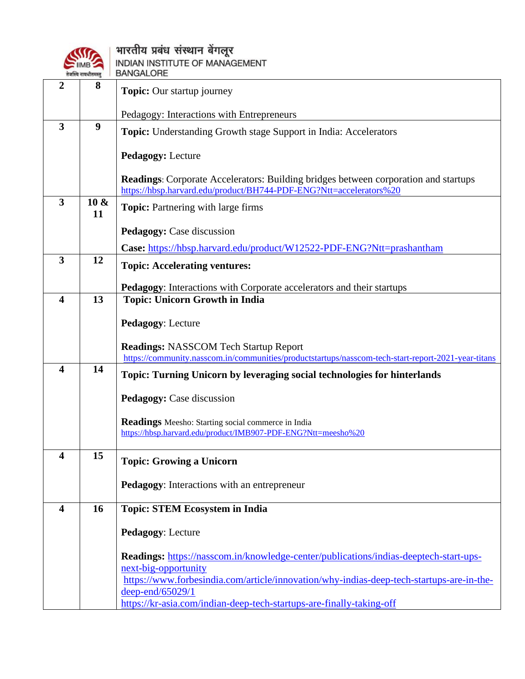

# ( अग्नि । भारतीय प्रबंध संस्थान बेंगलूर

|                         | $IIMB$ $\sim$<br>तेजस्वि नावधीतमस्त् | INDIAN INSTITUTE OF MANAGEMENT<br><b>BANGALORE</b>                                                                                                               |
|-------------------------|--------------------------------------|------------------------------------------------------------------------------------------------------------------------------------------------------------------|
| 2                       | 8                                    | <b>Topic:</b> Our startup journey                                                                                                                                |
|                         |                                      | Pedagogy: Interactions with Entrepreneurs                                                                                                                        |
| 3                       | 9                                    | <b>Topic:</b> Understanding Growth stage Support in India: Accelerators                                                                                          |
|                         |                                      | <b>Pedagogy: Lecture</b>                                                                                                                                         |
|                         |                                      | <b>Readings:</b> Corporate Accelerators: Building bridges between corporation and startups<br>https://hbsp.harvard.edu/product/BH744-PDF-ENG?Ntt=accelerators%20 |
| 3                       | $10 \&$<br>11                        | <b>Topic:</b> Partnering with large firms                                                                                                                        |
|                         |                                      | <b>Pedagogy:</b> Case discussion                                                                                                                                 |
|                         |                                      | Case: https://hbsp.harvard.edu/product/W12522-PDF-ENG?Ntt=prashantham                                                                                            |
| 3                       | 12                                   | <b>Topic: Accelerating ventures:</b>                                                                                                                             |
|                         |                                      | Pedagogy: Interactions with Corporate accelerators and their startups                                                                                            |
| $\overline{\mathbf{4}}$ | 13                                   | <b>Topic: Unicorn Growth in India</b>                                                                                                                            |
|                         |                                      | <b>Pedagogy: Lecture</b>                                                                                                                                         |
|                         |                                      | <b>Readings: NASSCOM Tech Startup Report</b><br>https://community.nasscom.in/communities/productstartups/nasscom-tech-start-report-2021-year-titans              |
| $\overline{\mathbf{4}}$ | 14                                   | Topic: Turning Unicorn by leveraging social technologies for hinterlands                                                                                         |
|                         |                                      | Pedagogy: Case discussion                                                                                                                                        |
|                         |                                      | <b>Readings</b> Meesho: Starting social commerce in India                                                                                                        |
|                         |                                      | https://hbsp.harvard.edu/product/IMB907-PDF-ENG?Ntt=meesho%20                                                                                                    |
| 4                       | 15                                   | <b>Topic: Growing a Unicorn</b>                                                                                                                                  |
|                         |                                      | Pedagogy: Interactions with an entrepreneur                                                                                                                      |
| $\overline{\mathbf{4}}$ | 16                                   | <b>Topic: STEM Ecosystem in India</b>                                                                                                                            |
|                         |                                      | Pedagogy: Lecture                                                                                                                                                |
|                         |                                      | Readings: https://nasscom.in/knowledge-center/publications/indias-deeptech-start-ups-                                                                            |
|                         |                                      | next-big-opportunity                                                                                                                                             |
|                         |                                      | https://www.forbesindia.com/article/innovation/why-indias-deep-tech-startups-are-in-the-<br>deep-end/65029/1                                                     |
|                         |                                      | https://kr-asia.com/indian-deep-tech-startups-are-finally-taking-off                                                                                             |